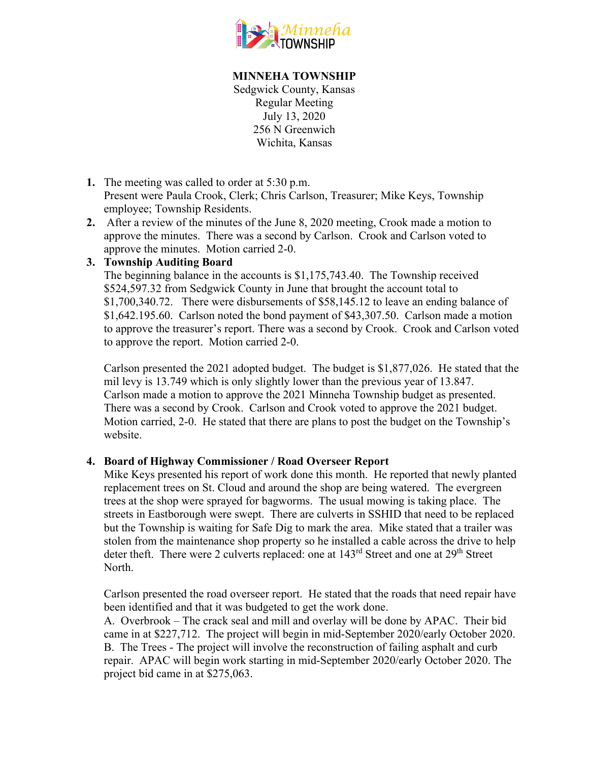

## **MINNEHA TOWNSHIP**

Sedgwick County, Kansas Regular Meeting July 13, 2020 256 N Greenwich Wichita, Kansas

- **1.** The meeting was called to order at 5:30 p.m. Present were Paula Crook, Clerk; Chris Carlson, Treasurer; Mike Keys, Township employee; Township Residents.
- **2.** After a review of the minutes of the June 8, 2020 meeting, Crook made a motion to approve the minutes. There was a second by Carlson. Crook and Carlson voted to approve the minutes. Motion carried 2-0.

## **3. Township Auditing Board**

The beginning balance in the accounts is \$1,175,743.40. The Township received \$524,597.32 from Sedgwick County in June that brought the account total to \$1,700,340.72. There were disbursements of \$58,145.12 to leave an ending balance of \$1,642.195.60. Carlson noted the bond payment of \$43,307.50. Carlson made a motion to approve the treasurer's report. There was a second by Crook. Crook and Carlson voted to approve the report. Motion carried 2-0.

Carlson presented the 2021 adopted budget. The budget is \$1,877,026. He stated that the mil levy is 13.749 which is only slightly lower than the previous year of 13.847. Carlson made a motion to approve the 2021 Minneha Township budget as presented. There was a second by Crook. Carlson and Crook voted to approve the 2021 budget. Motion carried, 2-0. He stated that there are plans to post the budget on the Township's website.

## **4. Board of Highway Commissioner / Road Overseer Report**

Mike Keys presented his report of work done this month. He reported that newly planted replacement trees on St. Cloud and around the shop are being watered. The evergreen trees at the shop were sprayed for bagworms. The usual mowing is taking place. The streets in Eastborough were swept. There are culverts in SSHID that need to be replaced but the Township is waiting for Safe Dig to mark the area. Mike stated that a trailer was stolen from the maintenance shop property so he installed a cable across the drive to help deter theft. There were 2 culverts replaced: one at 143<sup>rd</sup> Street and one at 29<sup>th</sup> Street North.

Carlson presented the road overseer report. He stated that the roads that need repair have been identified and that it was budgeted to get the work done.

A. Overbrook – The crack seal and mill and overlay will be done by APAC. Their bid came in at \$227,712. The project will begin in mid-September 2020/early October 2020. B. The Trees - The project will involve the reconstruction of failing asphalt and curb repair. APAC will begin work starting in mid-September 2020/early October 2020. The project bid came in at \$275,063.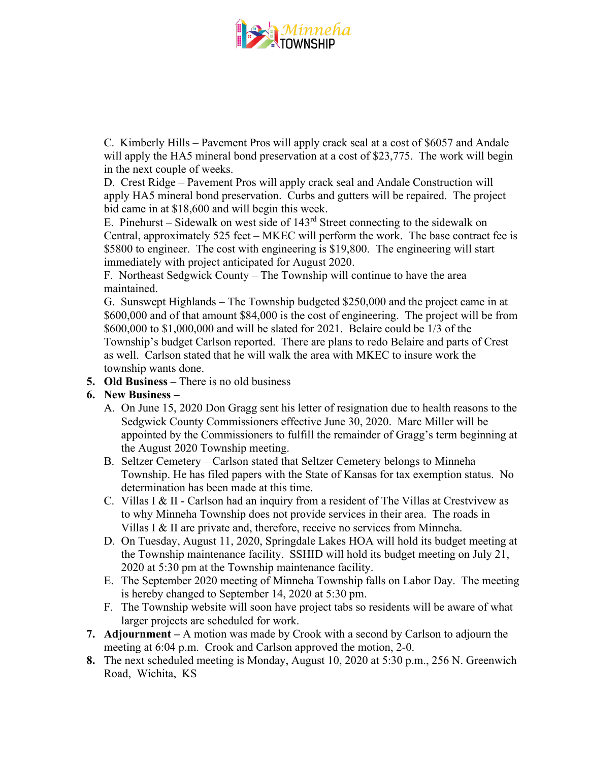

C. Kimberly Hills – Pavement Pros will apply crack seal at a cost of \$6057 and Andale will apply the HA5 mineral bond preservation at a cost of \$23,775. The work will begin in the next couple of weeks.

D. Crest Ridge – Pavement Pros will apply crack seal and Andale Construction will apply HA5 mineral bond preservation. Curbs and gutters will be repaired. The project bid came in at \$18,600 and will begin this week.

E. Pinehurst – Sidewalk on west side of  $143<sup>rd</sup>$  Street connecting to the sidewalk on Central, approximately 525 feet – MKEC will perform the work. The base contract fee is \$5800 to engineer. The cost with engineering is \$19,800. The engineering will start immediately with project anticipated for August 2020.

F. Northeast Sedgwick County – The Township will continue to have the area maintained.

G. Sunswept Highlands – The Township budgeted \$250,000 and the project came in at \$600,000 and of that amount \$84,000 is the cost of engineering. The project will be from \$600,000 to \$1,000,000 and will be slated for 2021. Belaire could be 1/3 of the Township's budget Carlson reported. There are plans to redo Belaire and parts of Crest as well. Carlson stated that he will walk the area with MKEC to insure work the township wants done.

**5. Old Business –** There is no old business

## **6. New Business –**

- A. On June 15, 2020 Don Gragg sent his letter of resignation due to health reasons to the Sedgwick County Commissioners effective June 30, 2020. Marc Miller will be appointed by the Commissioners to fulfill the remainder of Gragg's term beginning at the August 2020 Township meeting.
- B. Seltzer Cemetery Carlson stated that Seltzer Cemetery belongs to Minneha Township. He has filed papers with the State of Kansas for tax exemption status. No determination has been made at this time.
- C. Villas I & II Carlson had an inquiry from a resident of The Villas at Crestvivew as to why Minneha Township does not provide services in their area. The roads in Villas I & II are private and, therefore, receive no services from Minneha.
- D. On Tuesday, August 11, 2020, Springdale Lakes HOA will hold its budget meeting at the Township maintenance facility. SSHID will hold its budget meeting on July 21, 2020 at 5:30 pm at the Township maintenance facility.
- E. The September 2020 meeting of Minneha Township falls on Labor Day. The meeting is hereby changed to September 14, 2020 at 5:30 pm.
- F. The Township website will soon have project tabs so residents will be aware of what larger projects are scheduled for work.
- **7. Adjournment –** A motion was made by Crook with a second by Carlson to adjourn the meeting at 6:04 p.m. Crook and Carlson approved the motion, 2-0.
- **8.** The next scheduled meeting is Monday, August 10, 2020 at 5:30 p.m., 256 N. Greenwich Road, Wichita, KS